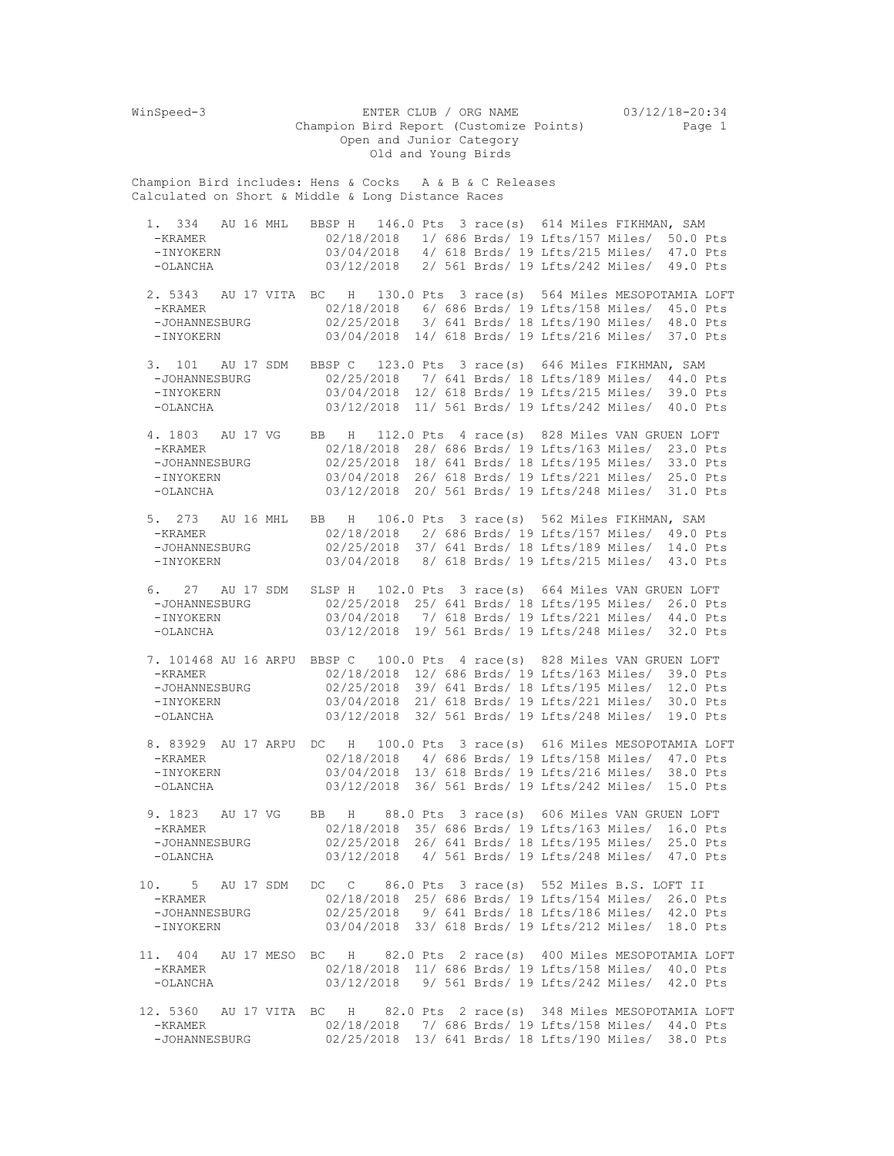WinSpeed-3 ENTER CLUB / ORG NAME 03/12/18-20:34 Champion Bird Report (Customize Points) Page 1 Open and Junior Category Old and Young Birds Champion Bird includes: Hens & Cocks A & B & C Releases Calculated on Short & Middle & Long Distance Races 1. 334 AU 16 MHL BBSP H 146.0 Pts 3 race(s) 614 Miles FIKHMAN, SAM<br>-KRAMER 02/18/2018 1/686 Brds/19 Lfts/157 Miles/ 50.0 L -KRAMER 02/18/2018 1/ 686 Brds/ 19 Lfts/157 Miles/ 50.0 Pts 03/04/2018 4/ 618 Brds/ 19 Lfts/215 Miles/ 47.0 Pts -OLANCHA 03/12/2018 2/ 561 Brds/ 19 Lfts/242 Miles/ 49.0 Pts 2. 5343 AU 17 VITA BC H 130.0 Pts 3 race(s) 564 Miles MESOPOTAMIA LOFT<br>-KRAMER 02/18/2018 6/686 Brds/19 Lfts/158 Miles/ 45.0 Pts -KRAMER 02/18/2018 6/ 686 Brds/ 19 Lfts/158 Miles/ 45.0 Pts -JOHANNESBURG 02/25/2018 3/ 641 Brds/ 18 Lfts/190 Miles/ 48.0 Pts -INYOKERN 03/04/2018 14/ 618 Brds/ 19 Lfts/216 Miles/ 37.0 Pts 3. 101 AU 17 SDM BBSP C 123.0 Pts 3 race(s) 646 Miles FIKHMAN, SAM -JOHANNESBURG 02/25/2018 7/ 641 Brds/ 18 Lfts/189 Miles/ 44.0 Pts -INYOKERN 03/04/2018 12/ 618 Brds/ 19 Lfts/215 Miles/ 39.0 Pts -OLANCHA 03/12/2018 11/ 561 Brds/ 19 Lfts/242 Miles/ 40.0 Pts 4. 1803 AU 17 VG BB H 112.0 Pts 4 race(s) 828 Miles VAN GRUEN LOFT -KRAMER 02/18/2018 28/ 686 Brds/ 19 Lfts/163 Miles/ 23.0 Pts -JOHANNESBURG 02/25/2018 18/ 641 Brds/ 18 Lfts/195 Miles/ 33.0 Pts -INYOKERN 03/04/2018 26/ 618 Brds/ 19 Lfts/221 Miles/ 25.0 Pts -OLANCHA 03/12/2018 20/ 561 Brds/ 19 Lfts/248 Miles/ 31.0 Pts 5. 273 AU 16 MHL BB H 106.0 Pts 3 race(s) 562 Miles FIKHMAN, SAM -KRAMER 02/18/2018 2/ 686 Brds/ 19 Lfts/157 Miles/ 49.0 Pts -JOHANNESBURG 02/25/2018 37/ 641 Brds/ 18 Lfts/189 Miles/ 14.0 Pts -INYOKERN 03/04/2018 8/ 618 Brds/ 19 Lfts/215 Miles/ 43.0 Pts 6. 27 AU 17 SDM SLSP H 102.0 Pts 3 race(s) 664 Miles VAN GRUEN LOFT -JOHANNESBURG 02/25/2018 25/ 641 Brds/ 18 Lfts/195 Miles/ 26.0 Pts -INYOKERN 03/04/2018 7/ 618 Brds/ 19 Lfts/221 Miles/ 44.0 Pts -OLANCHA 03/12/2018 19/ 561 Brds/ 19 Lfts/248 Miles/ 32.0 Pts 7. 101468 AU 16 ARPU BBSP C 100.0 Pts 4 race(s) 828 Miles VAN GRUEN LOFT -KRAMER 02/18/2018 12/ 686 Brds/ 19 Lfts/163 Miles/ 39.0 Pts -JOHANNESBURG 02/25/2018 39/ 641 Brds/ 18 Lfts/195 Miles/ 12.0 Pts -INYOKERN 03/04/2018 21/ 618 Brds/ 19 Lfts/221 Miles/ 30.0 Pts -OLANCHA 03/12/2018 32/ 561 Brds/ 19 Lfts/248 Miles/ 19.0 Pts 8. 83929 AU 17 ARPU DC H 100.0 Pts 3 race(s) 616 Miles MESOPOTAMIA LOFT -KRAMER 02/18/2018 4/ 686 Brds/ 19 Lfts/158 Miles/ 47.0 Pts -INYOKERN 03/04/2018 13/ 618 Brds/ 19 Lfts/216 Miles/ 38.0 Pts -OLANCHA 03/12/2018 36/ 561 Brds/ 19 Lfts/242 Miles/ 15.0 Pts 9. 1823 AU 17 VG BB H 88.0 Pts 3 race(s) 606 Miles VAN GRUEN LOFT -KRAMER 02/18/2018 35/ 686 Brds/ 19 Lfts/163 Miles/ 16.0 Pts -JOHANNESBURG 02/25/2018 26/ 641 Brds/ 18 Lfts/195 Miles/ 25.0 Pts 03/12/2018 4/ 561 Brds/ 19 Lfts/248 Miles/ 47.0 Pts 10. 5 AU 17 SDM DC C 86.0 Pts 3 race(s) 552 Miles B.S. LOFT II -KRAMER 02/18/2018 25/ 686 Brds/ 19 Lfts/154 Miles/ 26.0 Pts<br>-JOHANNESBURG 02/25/2018 9/ 641 Brds/ 18 Lfts/186 Miles/ 42.0 Pts -JOHANNESBURG 02/25/2018 9/ 641 Brds/ 18 Lfts/186 Miles/ 42.0 Pts 03/04/2018 33/ 618 Brds/ 19 Lfts/212 Miles/ 18.0 Pts 11. 404 AU 17 MESO BC H 82.0 Pts 2 race(s) 400 Miles MESOPOTAMIA LOFT -KRAMER 02/18/2018 11/ 686 Brds/ 19 Lfts/158 Miles/ 40.0 Pts -OLANCHA 03/12/2018 9/ 561 Brds/ 19 Lfts/242 Miles/ 42.0 Pts 12. 5360 AU 17 VITA BC H 82.0 Pts 2 race(s) 348 Miles MESOPOTAMIA LOFT -KRAMER 02/18/2018 7/ 686 Brds/ 19 Lfts/158 Miles/ 44.0 Pts -JOHANNESBURG 02/25/2018 13/ 641 Brds/ 18 Lfts/190 Miles/ 38.0 Pts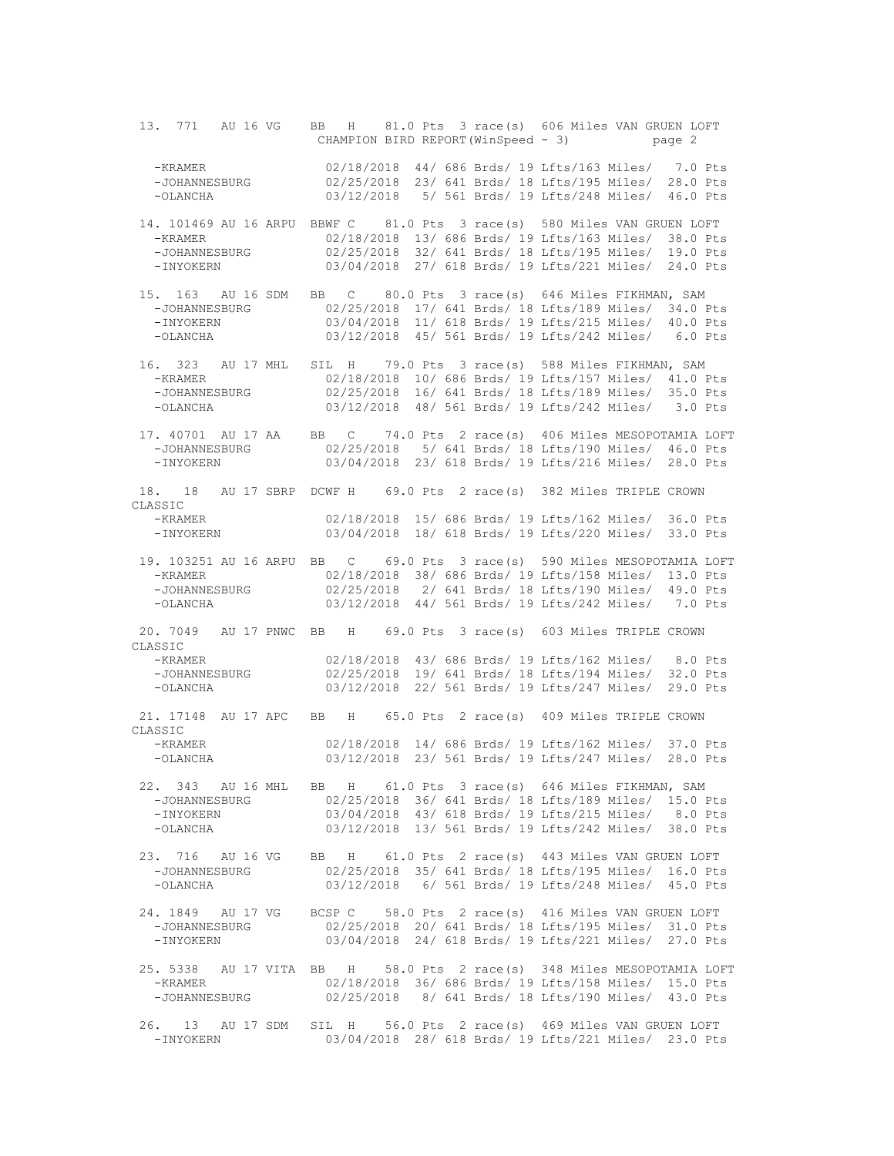13. 771 AU 16 VG BB H 81.0 Pts 3 race(s) 606 Miles VAN GRUEN LOFT CHAMPION BIRD REPORT(WinSpeed - 3) page 2 -KRAMER 02/18/2018 44/ 686 Brds/ 19 Lfts/163 Miles/ 7.0 Pts -JOHANNESBURG 02/25/2018 23/ 641 Brds/ 18 Lfts/195 Miles/ 28.0 Pts -OLANCHA 03/12/2018 5/ 561 Brds/ 19 Lfts/248 Miles/ 46.0 Pts 14. 101469 AU 16 ARPU BBWF C 81.0 Pts 3 race(s) 580 Miles VAN GRUEN LOFT -KRAMER 02/18/2018 13/ 686 Brds/ 19 Lfts/163 Miles/ 38.0 Pts 02/25/2018 32/ 641 Brds/ 18 Lfts/195 Miles/ 19.0 Pts -INYOKERN 03/04/2018 27/ 618 Brds/ 19 Lfts/221 Miles/ 24.0 Pts 15. 163 AU 16 SDM BB C 80.0 Pts 3 race(s) 646 Miles FIKHMAN, SAM -JOHANNESBURG 02/25/2018 17/ 641 Brds/ 18 Lfts/189 Miles/ 34.0 Pts -INYOKERN 03/04/2018 11/ 618 Brds/ 19 Lfts/215 Miles/ 40.0 Pts -OLANCHA 03/12/2018 45/ 561 Brds/ 19 Lfts/242 Miles/ 6.0 Pts 16. 323 AU 17 MHL SIL H 79.0 Pts 3 race(s) 588 Miles FIKHMAN, SAM -KRAMER 02/18/2018 10/ 686 Brds/ 19 Lfts/157 Miles/ 41.0 Pts -JOHANNESBURG 02/25/2018 16/ 641 Brds/ 18 Lfts/189 Miles/ 35.0 Pts -OLANCHA 03/12/2018 48/ 561 Brds/ 19 Lfts/242 Miles/ 3.0 Pts 17. 40701 AU 17 AA BB C 74.0 Pts 2 race(s) 406 Miles MESOPOTAMIA LOFT 02/25/2018 5/ 641 Brds/ 18 Lfts/190 Miles/ 46.0 Pts -INYOKERN 03/04/2018 23/ 618 Brds/ 19 Lfts/216 Miles/ 28.0 Pts 18. 18 AU 17 SBRP DCWF H 69.0 Pts 2 race(s) 382 Miles TRIPLE CROWN CLASSIC -KRAMER 02/18/2018 15/ 686 Brds/ 19 Lfts/162 Miles/ 36.0 Pts 03/04/2018 18/ 618 Brds/ 19 Lfts/220 Miles/ 33.0 Pts 19. 103251 AU 16 ARPU BB C 69.0 Pts 3 race(s) 590 Miles MESOPOTAMIA LOFT -KRAMER 02/18/2018 38/ 686 Brds/ 19 Lfts/158 Miles/ 13.0 Pts -JOHANNESBURG 02/25/2018 2/ 641 Brds/ 18 Lfts/190 Miles/ 49.0 Pts 03/12/2018 44/ 561 Brds/ 19 Lfts/242 Miles/ 7.0 Pts 20. 7049 AU 17 PNWC BB H 69.0 Pts 3 race(s) 603 Miles TRIPLE CROWN CLASSIC<br>-KRAMER -KRAMER 02/18/2018 43/ 686 Brds/ 19 Lfts/162 Miles/ 8.0 Pts -JOHANNESBURG 02/25/2018 19/ 641 Brds/ 18 Lfts/194 Miles/ 32.0 Pts 03/12/2018 22/ 561 Brds/ 19 Lfts/247 Miles/ 29.0 Pts 21. 17148 AU 17 APC BB H 65.0 Pts 2 race(s) 409 Miles TRIPLE CROWN CLASSIC 02/18/2018 14/ 686 Brds/ 19 Lfts/162 Miles/ 37.0 Pts -OLANCHA 03/12/2018 23/ 561 Brds/ 19 Lfts/247 Miles/ 28.0 Pts 22. 343 AU 16 MHL BB H 61.0 Pts 3 race(s) 646 Miles FIKHMAN, SAM -JOHANNESBURG 02/25/2018 36/ 641 Brds/ 18 Lfts/189 Miles/ 15.0 Pts -INYOKERN 03/04/2018 43/ 618 Brds/ 19 Lfts/215 Miles/ 8.0 Pts -OLANCHA 03/12/2018 13/ 561 Brds/ 19 Lfts/242 Miles/ 38.0 Pts 23. 716 AU 16 VG BB H 61.0 Pts 2 race(s) 443 Miles VAN GRUEN LOFT -JOHANNESBURG 02/25/2018 35/ 641 Brds/ 18 Lfts/195 Miles/ 16.0 Pts -OLANCHA 03/12/2018 6/ 561 Brds/ 19 Lfts/248 Miles/ 45.0 Pts 24. 1849 AU 17 VG BCSP C 58.0 Pts 2 race(s) 416 Miles VAN GRUEN LOFT -JOHANNESBURG 02/25/2018 20/ 641 Brds/ 18 Lfts/195 Miles/ 31.0 Pts 03/04/2018 24/ 618 Brds/ 19 Lfts/221 Miles/ 27.0 Pts 25. 5338 AU 17 VITA BB H 58.0 Pts 2 race(s) 348 Miles MESOPOTAMIA LOFT -KRAMER 02/18/2018 36/ 686 Brds/ 19 Lfts/158 Miles/ 15.0 Pts -JOHANNESBURG 02/25/2018 8/ 641 Brds/ 18 Lfts/190 Miles/ 43.0 Pts 26. 13 AU 17 SDM SIL H 56.0 Pts 2 race(s) 469 Miles VAN GRUEN LOFT -INYOKERN 03/04/2018 28/ 618 Brds/ 19 Lfts/221 Miles/ 23.0 Pts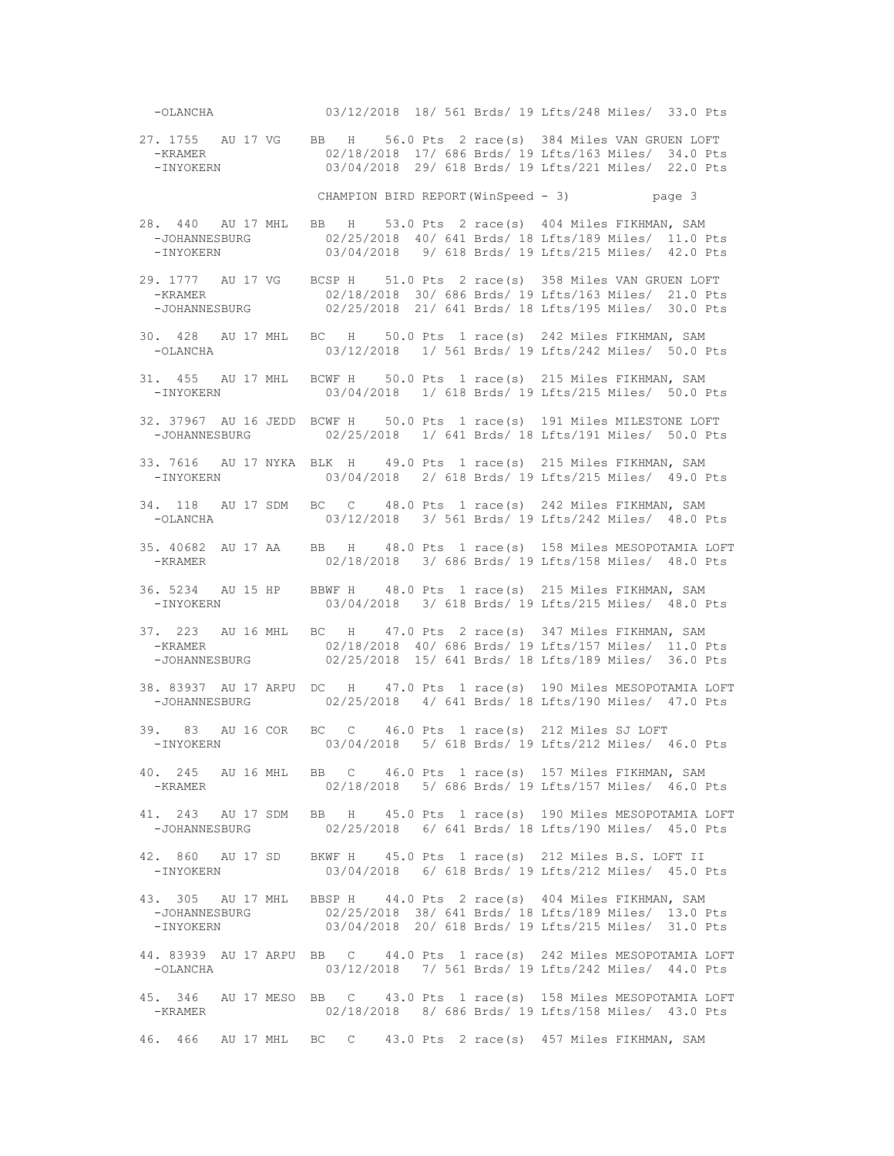-OLANCHA 03/12/2018 18/ 561 Brds/ 19 Lfts/248 Miles/ 33.0 Pts 27. 1755 AU 17 VG BB H 56.0 Pts 2 race(s) 384 Miles VAN GRUEN LOFT -KRAMER 02/18/2018 17/ 686 Brds/ 19 Lfts/163 Miles/ 34.0 Pts -INYOKERN 03/04/2018 29/ 618 Brds/ 19 Lfts/221 Miles/ 22.0 Pts CHAMPION BIRD REPORT(WinSpeed - 3) page 3 28. 440 AU 17 MHL BB H 53.0 Pts 2 race(s) 404 Miles FIKHMAN, SAM 02/25/2018 40/ 641 Brds/ 18 Lfts/189 Miles/ 11.0 Pts -INYOKERN 03/04/2018 9/ 618 Brds/ 19 Lfts/215 Miles/ 42.0 Pts 29. 1777 AU 17 VG BCSP H 51.0 Pts 2 race(s) 358 Miles VAN GRUEN LOFT -KRAMER 02/18/2018 30/ 686 Brds/ 19 Lfts/163 Miles/ 21.0 Pts -JOHANNESBURG 02/25/2018 21/ 641 Brds/ 18 Lfts/195 Miles/ 30.0 Pts 30. 428 AU 17 MHL BC H 50.0 Pts 1 race(s) 242 Miles FIKHMAN, SAM 03/12/2018 1/ 561 Brds/ 19 Lfts/242 Miles/ 50.0 Pts 31. 455 AU 17 MHL BCWF H 50.0 Pts 1 race(s) 215 Miles FIKHMAN, SAM 03/04/2018 1/ 618 Brds/ 19 Lfts/215 Miles/ 50.0 Pts 32. 37967 AU 16 JEDD BCWF H 50.0 Pts 1 race(s) 191 Miles MILESTONE LOFT 02/25/2018 1/ 641 Brds/ 18 Lfts/191 Miles/ 50.0 Pts 33. 7616 AU 17 NYKA BLK H 49.0 Pts 1 race(s) 215 Miles FIKHMAN, SAM -INYOKERN 03/04/2018 2/ 618 Brds/ 19 Lfts/215 Miles/ 49.0 Pts 34. 118 AU 17 SDM BC C 48.0 Pts 1 race(s) 242 Miles FIKHMAN, SAM -OLANCHA 03/12/2018 3/ 561 Brds/ 19 Lfts/242 Miles/ 48.0 Pts 35. 40682 AU 17 AA BB H 48.0 Pts 1 race(s) 158 Miles MESOPOTAMIA LOFT -KRAMER 02/18/2018 3/ 686 Brds/ 19 Lfts/158 Miles/ 48.0 Pts 36. 5234 AU 15 HP BBWF H 48.0 Pts 1 race(s) 215 Miles FIKHMAN, SAM -INYOKERN 03/04/2018 3/ 618 Brds/ 19 Lfts/215 Miles/ 48.0 Pts 37. 223 AU 16 MHL BC H 47.0 Pts 2 race(s) 347 Miles FIKHMAN, SAM -KRAMER 02/18/2018 40/ 686 Brds/ 19 Lfts/157 Miles/ 11.0 Pts 02/25/2018 15/ 641 Brds/ 18 Lfts/189 Miles/ 36.0 Pts 38. 83937 AU 17 ARPU DC H 47.0 Pts 1 race(s) 190 Miles MESOPOTAMIA LOFT -JOHANNESBURG 02/25/2018 4/ 641 Brds/ 18 Lfts/190 Miles/ 47.0 Pts 39. 83 AU 16 COR BC C 46.0 Pts 1 race(s) 212 Miles SJ LOFT 03/04/2018 5/ 618 Brds/ 19 Lfts/212 Miles/ 46.0 Pts 40. 245 AU 16 MHL BB C 46.0 Pts 1 race(s) 157 Miles FIKHMAN, SAM 02/18/2018 5/ 686 Brds/ 19 Lfts/157 Miles/ 46.0 Pts 41. 243 AU 17 SDM BB H 45.0 Pts 1 race(s) 190 Miles MESOPOTAMIA LOFT 02/25/2018 6/ 641 Brds/ 18 Lfts/190 Miles/ 45.0 Pts 42. 860 AU 17 SD BKWF H 45.0 Pts 1 race(s) 212 Miles B.S. LOFT II -INYOKERN 03/04/2018 6/ 618 Brds/ 19 Lfts/212 Miles/ 45.0 Pts 43. 305 AU 17 MHL BBSP H 44.0 Pts 2 race(s) 404 Miles FIKHMAN, SAM -JOHANNESBURG 02/25/2018 38/ 641 Brds/ 18 Lfts/189 Miles/ 13.0 Pts 03/04/2018 20/ 618 Brds/ 19 Lfts/215 Miles/ 31.0 Pts 44. 83939 AU 17 ARPU BB C 44.0 Pts 1 race(s) 242 Miles MESOPOTAMIA LOFT -OLANCHA 03/12/2018 7/ 561 Brds/ 19 Lfts/242 Miles/ 44.0 Pts 45. 346 AU 17 MESO BB C 43.0 Pts 1 race(s) 158 Miles MESOPOTAMIA LOFT 02/18/2018 8/ 686 Brds/ 19 Lfts/158 Miles/ 43.0 Pts 46. 466 AU 17 MHL BC C 43.0 Pts 2 race(s) 457 Miles FIKHMAN, SAM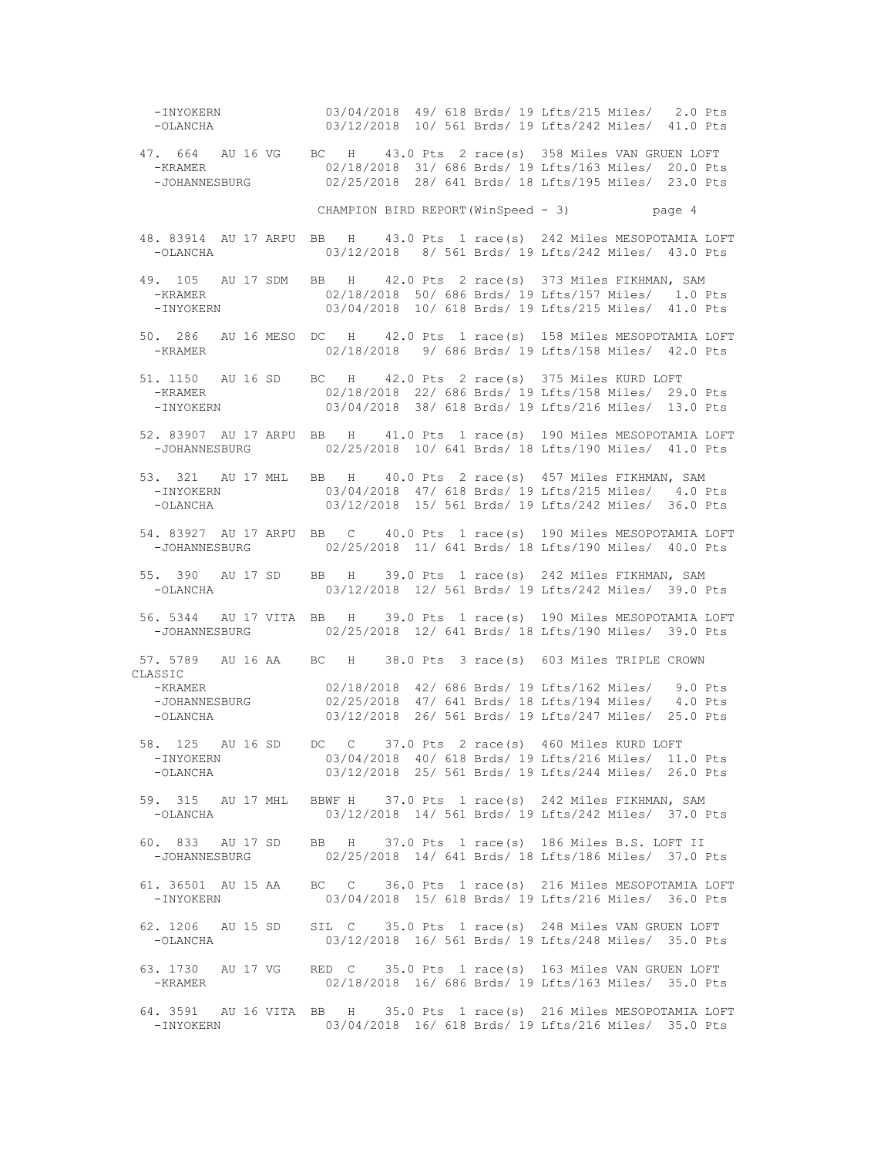-INYOKERN 03/04/2018 49/ 618 Brds/ 19 Lfts/215 Miles/ 2.0 Pts -OLANCHA 03/12/2018 10/ 561 Brds/ 19 Lfts/242 Miles/ 41.0 Pts 47. 664 AU 16 VG BC H 43.0 Pts 2 race(s) 358 Miles VAN GRUEN LOFT -KRAMER 02/18/2018 31/ 686 Brds/ 19 Lfts/163 Miles/ 20.0 Pts -JOHANNESBURG 02/25/2018 28/ 641 Brds/ 18 Lfts/195 Miles/ 23.0 Pts CHAMPION BIRD REPORT(WinSpeed - 3) page 4 48. 83914 AU 17 ARPU BB H 43.0 Pts 1 race(s) 242 Miles MESOPOTAMIA LOFT -OLANCHA 03/12/2018 8/ 561 Brds/ 19 Lfts/242 Miles/ 43.0 Pts 49. 105 AU 17 SDM BB H 42.0 Pts 2 race(s) 373 Miles FIKHMAN, SAM -KRAMER 02/18/2018 50/ 686 Brds/ 19 Lfts/157 Miles/ 1.0 Pts -INYOKERN 03/04/2018 10/ 618 Brds/ 19 Lfts/215 Miles/ 41.0 Pts 50. 286 AU 16 MESO DC H 42.0 Pts 1 race(s) 158 Miles MESOPOTAMIA LOFT<br>-KRAMER 02/18/2018 9/686 Brds/19 Lfts/158 Miles/ 42.0 Pts 02/18/2018 9/ 686 Brds/ 19 Lfts/158 Miles/ 42.0 Pts 51. 1150 AU 16 SD BC H 42.0 Pts 2 race(s) 375 Miles KURD LOFT -KRAMER 02/18/2018 22/ 686 Brds/ 19 Lfts/158 Miles/ 29.0 Pts -INYOKERN 03/04/2018 38/ 618 Brds/ 19 Lfts/216 Miles/ 13.0 Pts 52. 83907 AU 17 ARPU BB H 41.0 Pts 1 race(s) 190 Miles MESOPOTAMIA LOFT -JOHANNESBURG 02/25/2018 10/ 641 Brds/ 18 Lfts/190 Miles/ 41.0 Pts 53. 321 AU 17 MHL BB H 40.0 Pts 2 race(s) 457 Miles FIKHMAN, SAM<br>-INYOKERN 03/04/2018 47/ 618 Brds/ 19 Lfts/215 Miles/ 4.0 E -INYOKERN 03/04/2018 47/ 618 Brds/ 19 Lfts/215 Miles/ 4.0 Pts 03/12/2018 15/ 561 Brds/ 19 Lfts/242 Miles/ 36.0 Pts 54. 83927 AU 17 ARPU BB C 40.0 Pts 1 race(s) 190 Miles MESOPOTAMIA LOFT -JOHANNESBURG 02/25/2018 11/ 641 Brds/ 18 Lfts/190 Miles/ 40.0 Pts 55. 390 AU 17 SD BB H 39.0 Pts 1 race(s) 242 Miles FIKHMAN, SAM<br>-OLANCHA 03/12/2018 12/ 561 Brds/ 19 Lfts/242 Miles/ 39.0 E 03/12/2018 12/ 561 Brds/ 19 Lfts/242 Miles/ 39.0 Pts 56. 5344 AU 17 VITA BB H 39.0 Pts 1 race(s) 190 Miles MESOPOTAMIA LOFT 02/25/2018 12/ 641 Brds/ 18 Lfts/190 Miles/ 39.0 Pts 57. 5789 AU 16 AA BC H 38.0 Pts 3 race(s) 603 Miles TRIPLE CROWN CLASSIC<br>-KRAMER -KRAMER 02/18/2018 42/ 686 Brds/ 19 Lfts/162 Miles/ 9.0 Pts -JOHANNESBURG 02/25/2018 47/ 641 Brds/ 18 Lfts/194 Miles/ 4.0 Pts -OLANCHA 03/12/2018 26/ 561 Brds/ 19 Lfts/247 Miles/ 25.0 Pts 58. 125 AU 16 SD DC C 37.0 Pts 2 race(s) 460 Miles KURD LOFT -INYOKERN 03/04/2018 40/ 618 Brds/ 19 Lfts/216 Miles/ 11.0 Pts 03/12/2018 25/ 561 Brds/ 19 Lfts/244 Miles/ 26.0 Pts 59. 315 AU 17 MHL BBWF H 37.0 Pts 1 race(s) 242 Miles FIKHMAN, SAM -OLANCHA 03/12/2018 14/ 561 Brds/ 19 Lfts/242 Miles/ 37.0 Pts 60. 833 AU 17 SD BB H 37.0 Pts 1 race(s) 186 Miles B.S. LOFT II 02/25/2018 14/ 641 Brds/ 18 Lfts/186 Miles/ 37.0 Pts 61. 36501 AU 15 AA BC C 36.0 Pts 1 race(s) 216 Miles MESOPOTAMIA LOFT -INYOKERN 03/04/2018 15/ 618 Brds/ 19 Lfts/216 Miles/ 36.0 Pts 62. 1206 AU 15 SD SIL C 35.0 Pts 1 race(s) 248 Miles VAN GRUEN LOFT 03/12/2018 16/ 561 Brds/ 19 Lfts/248 Miles/ 35.0 Pts 63. 1730 AU 17 VG RED C 35.0 Pts 1 race(s) 163 Miles VAN GRUEN LOFT -KRAMER 02/18/2018 16/ 686 Brds/ 19 Lfts/163 Miles/ 35.0 Pts 64. 3591 AU 16 VITA BB H 35.0 Pts 1 race(s) 216 Miles MESOPOTAMIA LOFT 03/04/2018 16/ 618 Brds/ 19 Lfts/216 Miles/ 35.0 Pts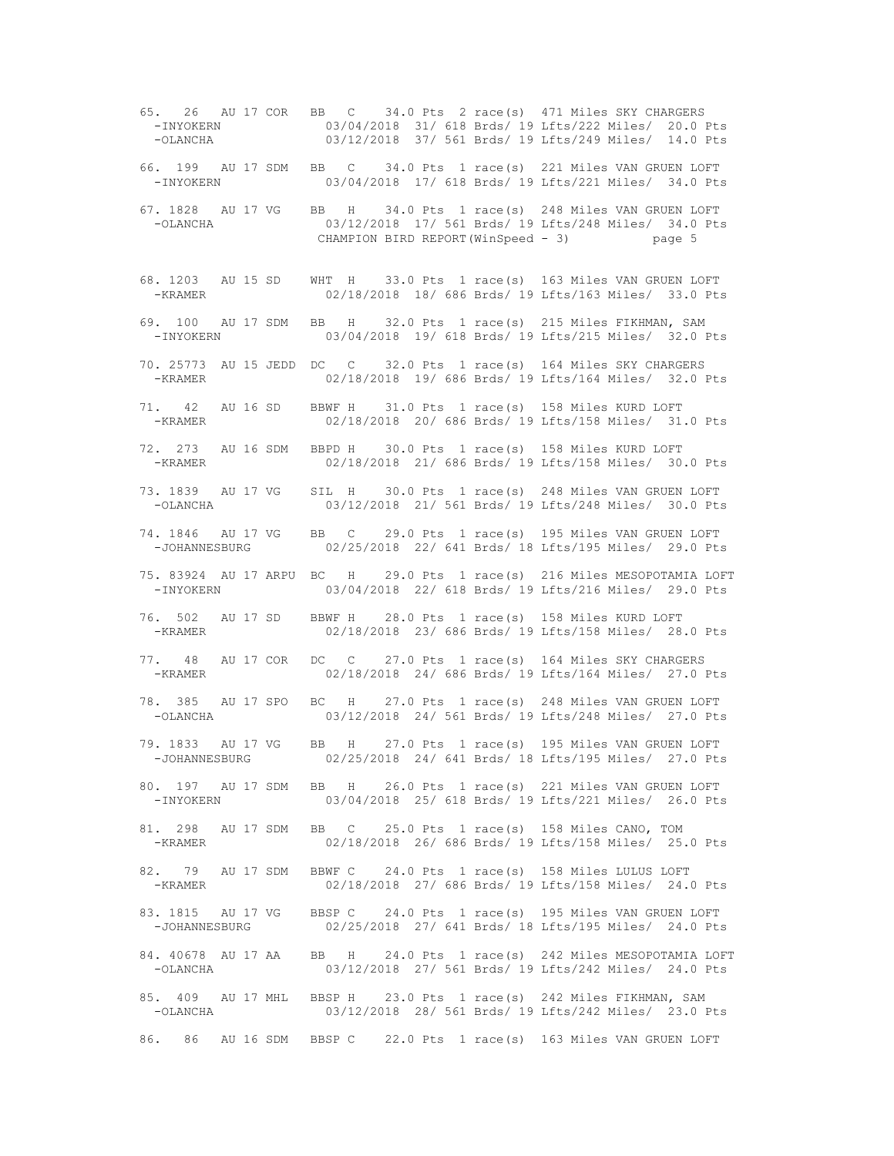65. 26 AU 17 COR BB C 34.0 Pts 2 race(s) 471 Miles SKY CHARGERS -INYOKERN 03/04/2018 31/ 618 Brds/ 19 Lfts/222 Miles/ 20.0 Pts 03/12/2018 37/ 561 Brds/ 19 Lfts/249 Miles/ 14.0 Pts 66. 199 AU 17 SDM BB C 34.0 Pts 1 race(s) 221 Miles VAN GRUEN LOFT -INYOKERN 03/04/2018 17/ 618 Brds/ 19 Lfts/221 Miles/ 34.0 Pts 67. 1828 AU 17 VG BB H 34.0 Pts 1 race(s) 248 Miles VAN GRUEN LOFT 03/12/2018 17/ 561 Brds/ 19 Lfts/248 Miles/ 34.0 Pts CHAMPION BIRD REPORT(WinSpeed - 3) page 5 68. 1203 AU 15 SD WHT H 33.0 Pts 1 race(s) 163 Miles VAN GRUEN LOFT -KRAMER 02/18/2018 18/ 686 Brds/ 19 Lfts/163 Miles/ 33.0 Pts 69. 100 AU 17 SDM BB H 32.0 Pts 1 race(s) 215 Miles FIKHMAN, SAM 03/04/2018 19/ 618 Brds/ 19 Lfts/215 Miles/ 32.0 Pts 70. 25773 AU 15 JEDD DC C 32.0 Pts 1 race(s) 164 Miles SKY CHARGERS 02/18/2018 19/ 686 Brds/ 19 Lfts/164 Miles/ 32.0 Pts 71. 42 AU 16 SD BBWF H 31.0 Pts 1 race(s) 158 Miles KURD LOFT 02/18/2018 20/ 686 Brds/ 19 Lfts/158 Miles/ 31.0 Pts 72. 273 AU 16 SDM BBPD H 30.0 Pts 1 race(s) 158 Miles KURD LOFT -KRAMER 02/18/2018 21/ 686 Brds/ 19 Lfts/158 Miles/ 30.0 Pts 73. 1839 AU 17 VG SIL H 30.0 Pts 1 race(s) 248 Miles VAN GRUEN LOFT 03/12/2018 21/ 561 Brds/ 19 Lfts/248 Miles/ 30.0 Pts 74. 1846 AU 17 VG BB C 29.0 Pts 1 race(s) 195 Miles VAN GRUEN LOFT -JOHANNESBURG 02/25/2018 22/ 641 Brds/ 18 Lfts/195 Miles/ 29.0 Pts 75. 83924 AU 17 ARPU BC H 29.0 Pts 1 race(s) 216 Miles MESOPOTAMIA LOFT -INYOKERN 03/04/2018 22/ 618 Brds/ 19 Lfts/216 Miles/ 29.0 Pts 76. 502 AU 17 SD BBWF H 28.0 Pts 1 race(s) 158 Miles KURD LOFT -KRAMER 02/18/2018 23/ 686 Brds/ 19 Lfts/158 Miles/ 28.0 Pts 77. 48 AU 17 COR DC C 27.0 Pts 1 race(s) 164 Miles SKY CHARGERS 02/18/2018 24/ 686 Brds/ 19 Lfts/164 Miles/ 27.0 Pts 78. 385 AU 17 SPO BC H 27.0 Pts 1 race(s) 248 Miles VAN GRUEN LOFT -OLANCHA 03/12/2018 24/ 561 Brds/ 19 Lfts/248 Miles/ 27.0 Pts 79. 1833 AU 17 VG BB H 27.0 Pts 1 race(s) 195 Miles VAN GRUEN LOFT -JOHANNESBURG 02/25/2018 24/ 641 Brds/ 18 Lfts/195 Miles/ 27.0 Pts 80. 197 AU 17 SDM BB H 26.0 Pts 1 race(s) 221 Miles VAN GRUEN LOFT -INYOKERN 03/04/2018 25/ 618 Brds/ 19 Lfts/221 Miles/ 26.0 Pts 81. 298 AU 17 SDM BB C 25.0 Pts 1 race(s) 158 Miles CANO, TOM<br>-KRAMER 02/18/2018 26/ 686 Brds/ 19 Lfts/158 Miles/ 25. 02/18/2018 26/ 686 Brds/ 19 Lfts/158 Miles/ 25.0 Pts 82. 79 AU 17 SDM BBWF C 24.0 Pts 1 race(s) 158 Miles LULUS LOFT -KRAMER 02/18/2018 27/ 686 Brds/ 19 Lfts/158 Miles/ 24.0 Pts 83. 1815 AU 17 VG BBSP C 24.0 Pts 1 race(s) 195 Miles VAN GRUEN LOFT<br>-JOHANNESBURG 02/25/2018 27/ 641 Brds/ 18 Lfts/195 Miles/ 24.0 Pts 02/25/2018 27/ 641 Brds/ 18 Lfts/195 Miles/ 24.0 Pts 84. 40678 AU 17 AA BB H 24.0 Pts 1 race(s) 242 Miles MESOPOTAMIA LOFT -OLANCHA 03/12/2018 27/ 561 Brds/ 19 Lfts/242 Miles/ 24.0 Pts 85. 409 AU 17 MHL BBSP H 23.0 Pts 1 race(s) 242 Miles FIKHMAN, SAM<br>-OLANCHA 03/12/2018 28/561 Brds/19 Lfts/242 Miles/ 23.0 E 03/12/2018 28/ 561 Brds/ 19 Lfts/242 Miles/ 23.0 Pts 86. 86 AU 16 SDM BBSP C 22.0 Pts 1 race(s) 163 Miles VAN GRUEN LOFT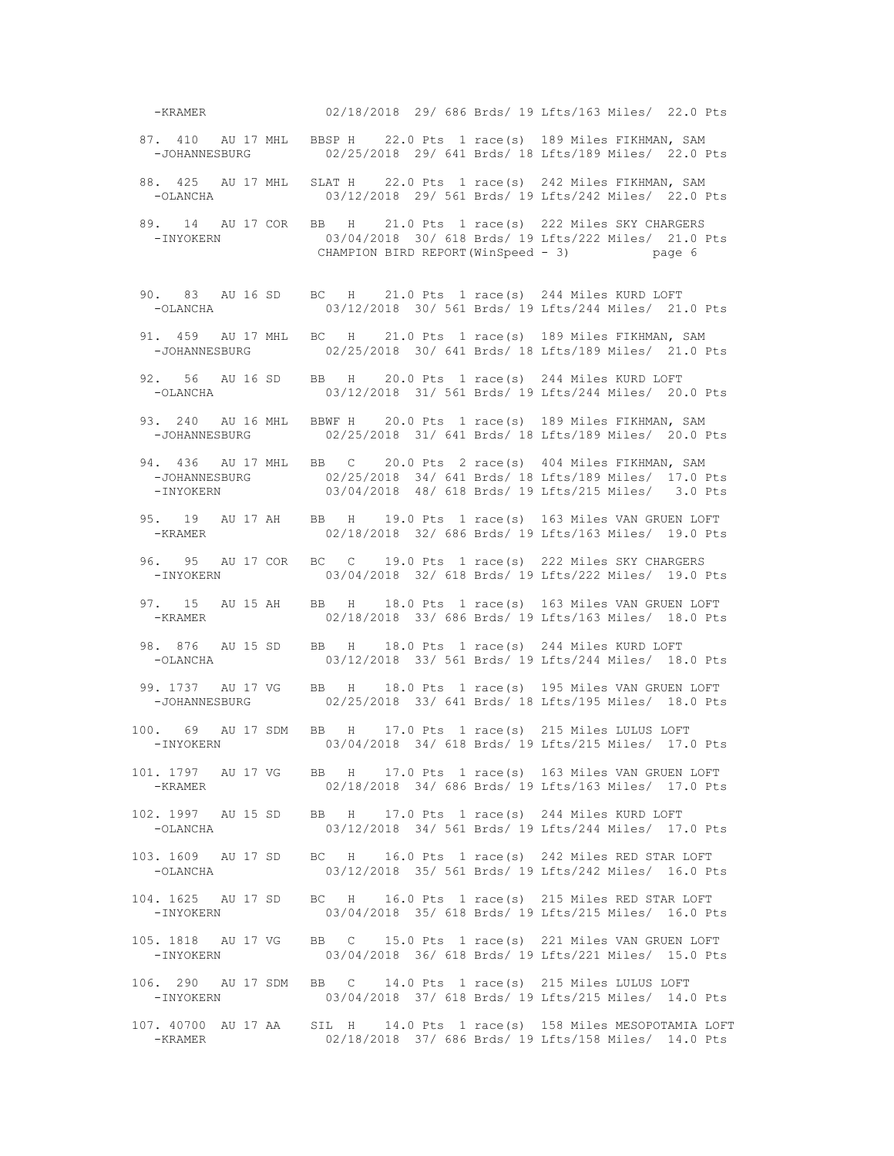-KRAMER 02/18/2018 29/ 686 Brds/ 19 Lfts/163 Miles/ 22.0 Pts 87. 410 AU 17 MHL BBSP H 22.0 Pts 1 race(s) 189 Miles FIKHMAN, SAM -JOHANNESBURG 02/25/2018 29/ 641 Brds/ 18 Lits/189 Miles/ 22.0 P 02/25/2018 29/ 641 Brds/ 18 Lfts/189 Miles/ 22.0 Pts 88. 425 AU 17 MHL SLAT H 22.0 Pts 1 race(s) 242 Miles FIKHMAN, SAM -OLANCHA 03/12/2018 29/ 561 Brds/ 19 Lfts/242 Miles/ 22.0 Pts 89. 14 AU 17 COR BB H 21.0 Pts 1 race(s) 222 Miles SKY CHARGERS<br>1.0 15/04/2018 30/618 Brds/19 Lfts/222 Miles/ 21.0 03/04/2018 30/ 618 Brds/ 19 Lfts/222 Miles/ 21.0 Pts CHAMPION BIRD REPORT(WinSpeed - 3) page 6 90. 83 AU 16 SD BC H 21.0 Pts 1 race(s) 244 Miles KURD LOFT -OLANCHA 03/12/2018 30/ 561 Brds/ 19 Lfts/244 Miles/ 21.0 Pts 91. 459 AU 17 MHL BC H 21.0 Pts 1 race(s) 189 Miles FIKHMAN, SAM<br>-JOHANNESBURG 02/25/2018 30/641 Brds/18 Lfts/189 Miles/ 21.0 F 02/25/2018 30/ 641 Brds/ 18 Lfts/189 Miles/ 21.0 Pts 92. 56 AU 16 SD BB H 20.0 Pts 1 race(s) 244 Miles KURD LOFT 03/12/2018 31/ 561 Brds/ 19 Lfts/244 Miles/ 20.0 Pts 93. 240 AU 16 MHL BBWF H 20.0 Pts 1 race(s) 189 Miles FIKHMAN, SAM 02/25/2018 31/ 641 Brds/ 18 Lfts/189 Miles/ 20.0 Pts 94. 436 AU 17 MHL BB C 20.0 Pts 2 race(s) 404 Miles FIKHMAN, SAM -JOHANNESBURG 02/25/2018 34/ 641 Brds/ 18 Lfts/189 Miles/ 17.0 Pts -INYOKERN 03/04/2018 48/ 618 Brds/ 19 Lfts/215 Miles/ 3.0 Pts 95. 19 AU 17 AH BB H 19.0 Pts 1 race(s) 163 Miles VAN GRUEN LOFT -KRAMER 02/18/2018 32/ 686 Brds/ 19 Lfts/163 Miles/ 19.0 Pts 96. 95 AU 17 COR BC C 19.0 Pts 1 race(s) 222 Miles SKY CHARGERS<br>PINYOKERN 03/04/2018 32/ 618 Brds/ 19 Lfts/222 Miles/ 19.0 B 03/04/2018 32/ 618 Brds/ 19 Lfts/222 Miles/ 19.0 Pts 97. 15 AU 15 AH BB H 18.0 Pts 1 race(s) 163 Miles VAN GRUEN LOFT -KRAMER 02/18/2018 33/ 686 Brds/ 19 Lfts/163 Miles/ 18.0 Pts 98. 876 AU 15 SD BB H 18.0 Pts 1 race(s) 244 Miles KURD LOFT 03/12/2018 33/ 561 Brds/ 19 Lfts/244 Miles/ 18.0 Pts 99. 1737 AU 17 VG BB H 18.0 Pts 1 race(s) 195 Miles VAN GRUEN LOFT -JOHANNESBURG 02/25/2018 33/ 641 Brds/ 18 Lfts/195 Miles/ 18.0 Pts 100. 69 AU 17 SDM BB H 17.0 Pts 1 race(s) 215 Miles LULUS LOFT<br>-INYOKERN 03/04/2018 34/618 Brds/19 Lfts/215 Miles/ 17.0 03/04/2018 34/ 618 Brds/ 19 Lfts/215 Miles/ 17.0 Pts 101. 1797 AU 17 VG BB H 17.0 Pts 1 race(s) 163 Miles VAN GRUEN LOFT 02/18/2018 34/ 686 Brds/ 19 Lfts/163 Miles/ 17.0 Pts 102. 1997 AU 15 SD BB H 17.0 Pts 1 race(s) 244 Miles KURD LOFT -OLANCHA 03/12/2018 34/ 561 Brds/ 19 Lfts/244 Miles/ 17.0 Pts 103. 1609 AU 17 SD BC H 16.0 Pts 1 race(s) 242 Miles RED STAR LOFT -OLANCHA 03/12/2018 35/ 561 Brds/ 19 Lfts/242 Miles/ 16.0 Pts 104. 1625 AU 17 SD BC H 16.0 Pts 1 race(s) 215 Miles RED STAR LOFT 03/04/2018 35/ 618 Brds/ 19 Lfts/215 Miles/ 16.0 Pts 105. 1818 AU 17 VG BB C 15.0 Pts 1 race(s) 221 Miles VAN GRUEN LOFT 03/04/2018 36/ 618 Brds/ 19 Lfts/221 Miles/ 15.0 Pts 106. 290 AU 17 SDM BB C 14.0 Pts 1 race(s) 215 Miles LULUS LOFT -INYOKERN 03/04/2018 37/ 618 Brds/ 19 Lfts/215 Miles/ 14.0 Pts 107. 40700 AU 17 AA SIL H 14.0 Pts 1 race(s) 158 Miles MESOPOTAMIA LOFT -KRAMER 02/18/2018 37/ 686 Brds/ 19 Lfts/158 Miles/ 14.0 Pts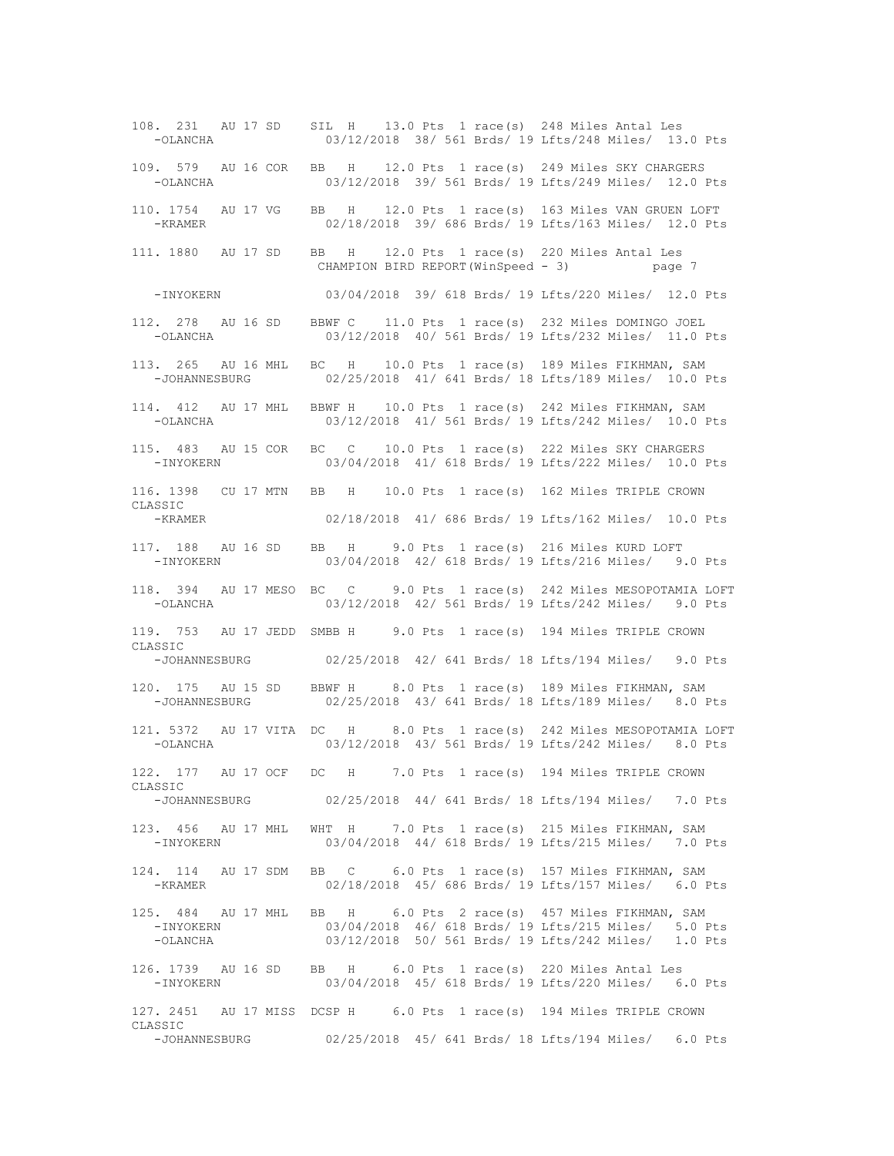108. 231 AU 17 SD SIL H 13.0 Pts 1 race(s) 248 Miles Antal Les 03/12/2018 38/ 561 Brds/ 19 Lfts/248 Miles/ 13.0 Pts 109. 579 AU 16 COR BB H 12.0 Pts 1 race(s) 249 Miles SKY CHARGERS -OLANCHA 03/12/2018 39/ 561 Brds/ 19 Lfts/249 Miles/ 12.0 Pts 110. 1754 AU 17 VG BB H 12.0 Pts 1 race(s) 163 Miles VAN GRUEN LOFT 02/18/2018 39/ 686 Brds/ 19 Lfts/163 Miles/ 12.0 Pts 111. 1880 AU 17 SD BB H 12.0 Pts 1 race(s) 220 Miles Antal Les CHAMPION BIRD REPORT(WinSpeed - 3) page 7 -INYOKERN 03/04/2018 39/ 618 Brds/ 19 Lfts/220 Miles/ 12.0 Pts 112. 278 AU 16 SD BBWF C 11.0 Pts 1 race(s) 232 Miles DOMINGO JOEL 03/12/2018 40/ 561 Brds/ 19 Lfts/232 Miles/ 11.0 Pts 113. 265 AU 16 MHL BC H 10.0 Pts 1 race(s) 189 Miles FIKHMAN, SAM 02/25/2018 41/ 641 Brds/ 18 Lfts/189 Miles/ 10.0 Pts 114. 412 AU 17 MHL BBWF H 10.0 Pts 1 race(s) 242 Miles FIKHMAN, SAM<br>-OLANCHA 03/12/2018 41/561 Brds/19 Lfts/242 Miles/ 10.0 F 03/12/2018 41/ 561 Brds/ 19 Lfts/242 Miles/ 10.0 Pts 115. 483 AU 15 COR BC C 10.0 Pts 1 race(s) 222 Miles SKY CHARGERS -INYOKERN 03/04/2018 41/ 618 Brds/ 19 Lfts/222 Miles/ 10.0 Pts 116. 1398 CU 17 MTN BB H 10.0 Pts 1 race(s) 162 Miles TRIPLE CROWN CLASSIC -KRAMER 02/18/2018 41/ 686 Brds/ 19 Lfts/162 Miles/ 10.0 Pts 117. 188 AU 16 SD BB H 9.0 Pts 1 race(s) 216 Miles KURD LOFT -INYOKERN 03/04/2018 42/ 618 Brds/ 19 Lfts/216 Miles/ 9.0 Pts 118. 394 AU 17 MESO BC C 9.0 Pts 1 race(s) 242 Miles MESOPOTAMIA LOFT -OLANCHA 03/12/2018 42/ 561 Brds/ 19 Lfts/242 Miles/ 9.0 Pts 119. 753 AU 17 JEDD SMBB H 9.0 Pts 1 race(s) 194 Miles TRIPLE CROWN CLASSIC<br>-JOHANNESBURG 02/25/2018 42/ 641 Brds/ 18 Lfts/194 Miles/ 9.0 Pts 120. 175 AU 15 SD BBWF H 8.0 Pts 1 race(s) 189 Miles FIKHMAN, SAM -JOHANNESBURG 02/25/2018 43/ 641 Brds/ 18 Lfts/189 Miles/ 8.0 Pts 121. 5372 AU 17 VITA DC H 8.0 Pts 1 race(s) 242 Miles MESOPOTAMIA LOFT<br>-OLANCHA 03/12/2018 43/561 Brds/19 Lfts/242 Miles/ 8.0 Pts 03/12/2018 43/ 561 Brds/ 19 Lfts/242 Miles/ 8.0 Pts 122. 177 AU 17 OCF DC H 7.0 Pts 1 race(s) 194 Miles TRIPLE CROWN CLASSIC -JOHANNESBURG 02/25/2018 44/ 641 Brds/ 18 Lfts/194 Miles/ 7.0 Pts 123. 456 AU 17 MHL WHT H 7.0 Pts 1 race(s) 215 Miles FIKHMAN, SAM<br>-INYOKERN 03/04/2018 44/ 618 Brds/ 19 Lfts/215 Miles/ 7.0 L 03/04/2018 44/ 618 Brds/ 19 Lfts/215 Miles/ 7.0 Pts 124. 114 AU 17 SDM BB C 6.0 Pts 1 race(s) 157 Miles FIKHMAN, SAM -KRAMER 02/18/2018 45/ 686 Brds/ 19 Lfts/157 Miles/ 6.0 Pts 125. 484 AU 17 MHL BB H 6.0 Pts 2 race(s) 457 Miles FIKHMAN, SAM<br>-INYOKERN 03/04/2018 46/ 618 Brds/ 19 Lfts/215 Miles/ 5.0 F -INYOKERN 03/04/2018 46/ 618 Brds/ 19 Lfts/215 Miles/ 5.0 Pts 03/12/2018 50/ 561 Brds/ 19 Lfts/242 Miles/ 1.0 Pts 126. 1739 AU 16 SD BB H 6.0 Pts 1 race(s) 220 Miles Antal Les -INYOKERN 03/04/2018 45/ 618 Brds/ 19 Lfts/220 Miles/ 6.0 Pts 127. 2451 AU 17 MISS DCSP H 6.0 Pts 1 race(s) 194 Miles TRIPLE CROWN CLASSIC -JOHANNESBURG 02/25/2018 45/ 641 Brds/ 18 Lfts/194 Miles/ 6.0 Pts